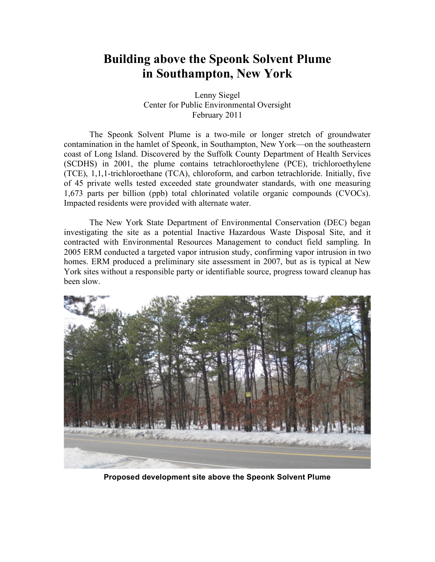## **Building above the Speonk Solvent Plume in Southampton, New York**

Lenny Siegel Center for Public Environmental Oversight February 2011

The Speonk Solvent Plume is a two-mile or longer stretch of groundwater contamination in the hamlet of Speonk, in Southampton, New York—on the southeastern coast of Long Island. Discovered by the Suffolk County Department of Health Services (SCDHS) in 2001, the plume contains tetrachloroethylene (PCE), trichloroethylene (TCE), 1,1,1-trichloroethane (TCA), chloroform, and carbon tetrachloride. Initially, five of 45 private wells tested exceeded state groundwater standards, with one measuring 1,673 parts per billion (ppb) total chlorinated volatile organic compounds (CVOCs). Impacted residents were provided with alternate water.

The New York State Department of Environmental Conservation (DEC) began investigating the site as a potential Inactive Hazardous Waste Disposal Site, and it contracted with Environmental Resources Management to conduct field sampling. In 2005 ERM conducted a targeted vapor intrusion study, confirming vapor intrusion in two homes. ERM produced a preliminary site assessment in 2007, but as is typical at New York sites without a responsible party or identifiable source, progress toward cleanup has been slow.



**Proposed development site above the Speonk Solvent Plume**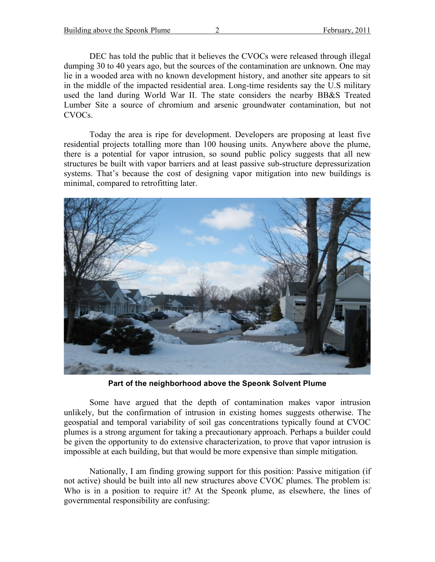DEC has told the public that it believes the CVOCs were released through illegal dumping 30 to 40 years ago, but the sources of the contamination are unknown. One may lie in a wooded area with no known development history, and another site appears to sit in the middle of the impacted residential area. Long-time residents say the U.S military used the land during World War II. The state considers the nearby BB&S Treated Lumber Site a source of chromium and arsenic groundwater contamination, but not CVOCs.

Today the area is ripe for development. Developers are proposing at least five residential projects totalling more than 100 housing units. Anywhere above the plume, there is a potential for vapor intrusion, so sound public policy suggests that all new structures be built with vapor barriers and at least passive sub-structure depressurization systems. That's because the cost of designing vapor mitigation into new buildings is minimal, compared to retrofitting later.



**Part of the neighborhood above the Speonk Solvent Plume**

Some have argued that the depth of contamination makes vapor intrusion unlikely, but the confirmation of intrusion in existing homes suggests otherwise. The geospatial and temporal variability of soil gas concentrations typically found at CVOC plumes is a strong argument for taking a precautionary approach. Perhaps a builder could be given the opportunity to do extensive characterization, to prove that vapor intrusion is impossible at each building, but that would be more expensive than simple mitigation.

Nationally, I am finding growing support for this position: Passive mitigation (if not active) should be built into all new structures above CVOC plumes. The problem is: Who is in a position to require it? At the Speonk plume, as elsewhere, the lines of governmental responsibility are confusing: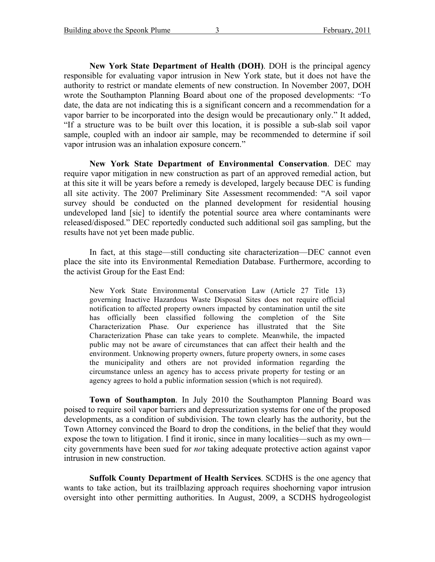**New York State Department of Health (DOH)**. DOH is the principal agency responsible for evaluating vapor intrusion in New York state, but it does not have the authority to restrict or mandate elements of new construction. In November 2007, DOH wrote the Southampton Planning Board about one of the proposed developments: "To date, the data are not indicating this is a significant concern and a recommendation for a vapor barrier to be incorporated into the design would be precautionary only." It added, "If a structure was to be built over this location, it is possible a sub-slab soil vapor sample, coupled with an indoor air sample, may be recommended to determine if soil vapor intrusion was an inhalation exposure concern."

**New York State Department of Environmental Conservation**. DEC may require vapor mitigation in new construction as part of an approved remedial action, but at this site it will be years before a remedy is developed, largely because DEC is funding all site activity. The 2007 Preliminary Site Assessment recommended: "A soil vapor survey should be conducted on the planned development for residential housing undeveloped land [sic] to identify the potential source area where contaminants were released/disposed." DEC reportedly conducted such additional soil gas sampling, but the results have not yet been made public.

In fact, at this stage—still conducting site characterization—DEC cannot even place the site into its Environmental Remediation Database. Furthermore, according to the activist Group for the East End:

New York State Environmental Conservation Law (Article 27 Title 13) governing Inactive Hazardous Waste Disposal Sites does not require official notification to affected property owners impacted by contamination until the site has officially been classified following the completion of the Site Characterization Phase. Our experience has illustrated that the Site Characterization Phase can take years to complete. Meanwhile, the impacted public may not be aware of circumstances that can affect their health and the environment. Unknowing property owners, future property owners, in some cases the municipality and others are not provided information regarding the circumstance unless an agency has to access private property for testing or an agency agrees to hold a public information session (which is not required).

**Town of Southampton**. In July 2010 the Southampton Planning Board was poised to require soil vapor barriers and depressurization systems for one of the proposed developments, as a condition of subdivision. The town clearly has the authority, but the Town Attorney convinced the Board to drop the conditions, in the belief that they would expose the town to litigation. I find it ironic, since in many localities—such as my own city governments have been sued for *not* taking adequate protective action against vapor intrusion in new construction.

**Suffolk County Department of Health Services**. SCDHS is the one agency that wants to take action, but its trailblazing approach requires shoehorning vapor intrusion oversight into other permitting authorities. In August, 2009, a SCDHS hydrogeologist